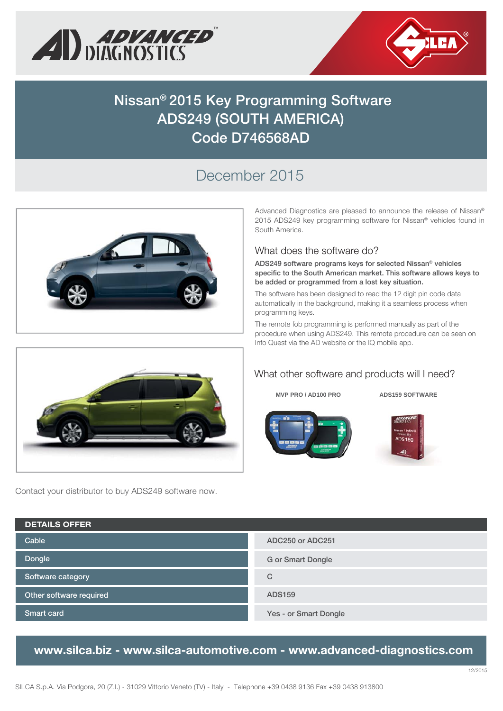



# **Nissan® 2015 Key Programming Software ADS249 (SOUTH AMERICA) Code D746568AD**

## December 2015



Contact your distributor to buy ADS249 software now.

Advanced Diagnostics are pleased to announce the release of Nissan® 2015 ADS249 key programming software for Nissan® vehicles found in South America.

#### What does the software do?

**ADS249 software programs keys for selected Nissan® vehicles specific to the South American market. This software allows keys to be added or programmed from a lost key situation.**

The software has been designed to read the 12 digit pin code data automatically in the background, making it a seamless process when programming keys.

The remote fob programming is performed manually as part of the procedure when using ADS249. This remote procedure can be seen on Info Quest via the AD website or the IQ mobile app.



**MVP PRO / AD100 PRO ADS159 SOFTWARE** 





**Dongle Cable Software category Other software required Smart card ADC250 or ADC251 G or Smart Dongle C ADS159 Yes - or Smart Dongle DETAILS OFFER**

### **www.silca.biz - www.silca-automotive.com - www.advanced-diagnostics.com**